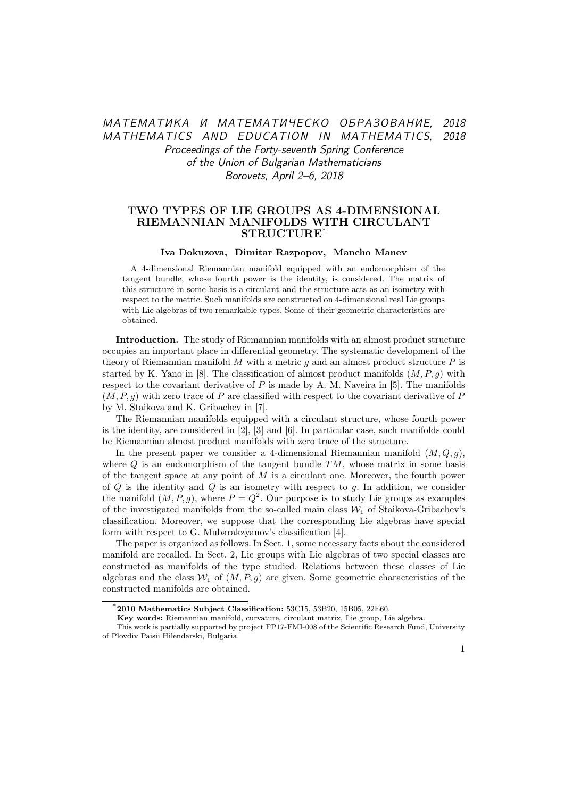# МАТЕМАТИКА И МАТЕМАТИЧЕСКО ОБРАЗОВАНИЕ, 2018 MATHEMATICS AND EDUCATION IN MATHEMATICS, 2018 Proceedings of the Forty-seventh Spring Conference of the Union of Bulgarian Mathematicians Borovets, April 2–6, 2018

### TWO TYPES OF LIE GROUPS AS 4-DIMENSIONAL RIEMANNIAN MANIFOLDS WITH CIRCULANT **STRUCTURE**\*

#### Iva Dokuzova, Dimitar Razpopov, Mancho Manev

A 4-dimensional Riemannian manifold equipped with an endomorphism of the tangent bundle, whose fourth power is the identity, is considered. The matrix of this structure in some basis is a circulant and the structure acts as an isometry with respect to the metric. Such manifolds are constructed on 4-dimensional real Lie groups with Lie algebras of two remarkable types. Some of their geometric characteristics are obtained.

Introduction. The study of Riemannian manifolds with an almost product structure occupies an important place in differential geometry. The systematic development of the theory of Riemannian manifold  $M$  with a metric  $q$  and an almost product structure  $P$  is started by K. Yano in [8]. The classification of almost product manifolds  $(M, P, g)$  with respect to the covariant derivative of  $P$  is made by A. M. Naveira in [5]. The manifolds  $(M, P, g)$  with zero trace of P are classified with respect to the covariant derivative of P by M. Staikova and K. Gribachev in [7].

The Riemannian manifolds equipped with a circulant structure, whose fourth power is the identity, are considered in [2], [3] and [6]. In particular case, such manifolds could be Riemannian almost product manifolds with zero trace of the structure.

In the present paper we consider a 4-dimensional Riemannian manifold  $(M, Q, g)$ , where  $Q$  is an endomorphism of the tangent bundle  $TM$ , whose matrix in some basis of the tangent space at any point of  $M$  is a circulant one. Moreover, the fourth power of  $Q$  is the identity and  $Q$  is an isometry with respect to  $g$ . In addition, we consider the manifold  $(M, P, g)$ , where  $P = Q^2$ . Our purpose is to study Lie groups as examples of the investigated manifolds from the so-called main class  $\mathcal{W}_1$  of Staikova-Gribachev's classification. Moreover, we suppose that the corresponding Lie algebras have special form with respect to G. Mubarakzyanov's classification [4].

The paper is organized as follows. In Sect. 1, some necessary facts about the considered manifold are recalled. In Sect. 2, Lie groups with Lie algebras of two special classes are constructed as manifolds of the type studied. Relations between these classes of Lie algebras and the class  $W_1$  of  $(M, P, g)$  are given. Some geometric characteristics of the constructed manifolds are obtained.

<sup>\*</sup>2010 Mathematics Subject Classification: 53C15, 53B20, 15B05, 22E60.

Key words: Riemannian manifold, curvature, circulant matrix, Lie group, Lie algebra.

This work is partially supported by project FP17-FMI-008 of the Scientific Research Fund, University of Plovdiv Paisii Hilendarski, Bulgaria.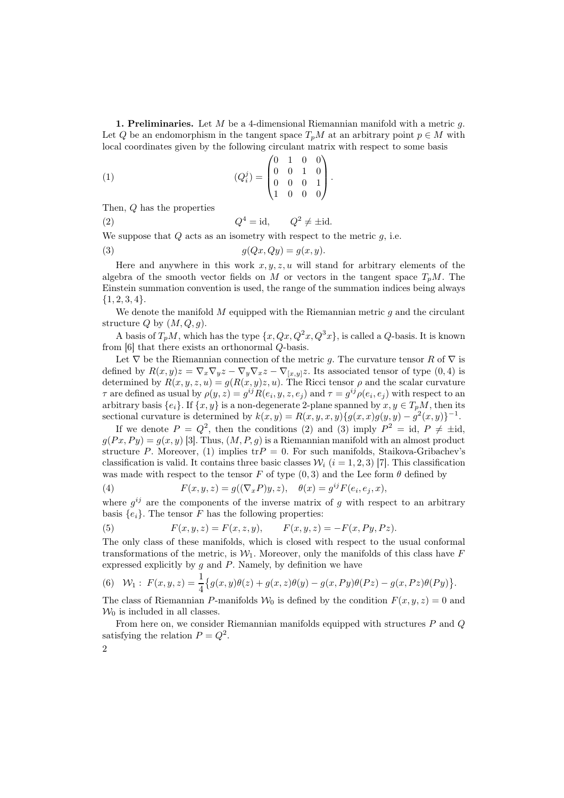1. Preliminaries. Let  $M$  be a 4-dimensional Riemannian manifold with a metric  $q$ . Let Q be an endomorphism in the tangent space  $T_pM$  at an arbitrary point  $p \in M$  with local coordinates given by the following circulant matrix with respect to some basis

(1) 
$$
(Q_i^j) = \begin{pmatrix} 0 & 1 & 0 & 0 \\ 0 & 0 & 1 & 0 \\ 0 & 0 & 0 & 1 \\ 1 & 0 & 0 & 0 \end{pmatrix}.
$$

Then, Q has the properties

 $(2)$  Q  $4 = id$ ,  $Q^2 \neq \pm id$ .

We suppose that  $Q$  acts as an isometry with respect to the metric  $q$ , i.e.

$$
(3) \t\t g(Qx,Qy) = g(x,y).
$$

Here and anywhere in this work  $x, y, z, u$  will stand for arbitrary elements of the algebra of the smooth vector fields on M or vectors in the tangent space  $T_pM$ . The Einstein summation convention is used, the range of the summation indices being always  ${1, 2, 3, 4}.$ 

We denote the manifold  $M$  equipped with the Riemannian metric  $q$  and the circulant structure Q by  $(M, Q, g)$ .

A basis of  $T_pM$ , which has the type  $\{x, Qx, Q^2x, Q^3x\}$ , is called a Q-basis. It is known from  $[6]$  that there exists an orthonormal  $Q$ -basis.

Let  $\nabla$  be the Riemannian connection of the metric q. The curvature tensor R of  $\nabla$  is defined by  $R(x,y)z = \nabla_x \nabla_y z - \nabla_y \nabla_x z - \nabla_{[x,y]} z$ . Its associated tensor of type  $(0,4)$  is determined by  $R(x, y, z, u) = g(R(x, y)z, u)$ . The Ricci tensor  $\rho$  and the scalar curvature  $\tau$  are defined as usual by  $\rho(y, z) = g^{ij}R(e_i, y, z, e_j)$  and  $\tau = g^{ij}\rho(e_i, e_j)$  with respect to an arbitrary basis  $\{e_i\}$ . If  $\{x, y\}$  is a non-degenerate 2-plane spanned by  $x, y \in T_pM$ , then its sectional curvature is determined by  $k(x, y) = R(x, y, x, y) \{g(x, x)g(y, y) - g^2(x, y)\}^{-1}$ .

If we denote  $P = Q^2$ , then the conditions (2) and (3) imply  $P^2 = id$ ,  $P \neq \pm id$ ,  $g(Px, Py) = g(x, y)$  [3]. Thus,  $(M, P, g)$  is a Riemannian manifold with an almost product structure P. Moreover, (1) implies  $trP = 0$ . For such manifolds, Staikova-Gribachev's classification is valid. It contains three basic classes  $\mathcal{W}_i$  (i = 1, 2, 3) [7]. This classification was made with respect to the tensor  $F$  of type  $(0,3)$  and the Lee form  $\theta$  defined by

(4) 
$$
F(x,y,z) = g((\nabla_x P)y,z), \quad \theta(x) = g^{ij} F(e_i,e_j,x),
$$

where  $g^{ij}$  are the components of the inverse matrix of g with respect to an arbitrary basis  $\{e_i\}$ . The tensor F has the following properties:

(5) 
$$
F(x, y, z) = F(x, z, y), \qquad F(x, y, z) = -F(x, Py, Pz).
$$

The only class of these manifolds, which is closed with respect to the usual conformal transformations of the metric, is  $\mathcal{W}_1$ . Moreover, only the manifolds of this class have F expressed explicitly by  $g$  and  $P$ . Namely, by definition we have

(6) 
$$
W_1: F(x, y, z) = \frac{1}{4} \{g(x, y)\theta(z) + g(x, z)\theta(y) - g(x, Py)\theta(Pz) - g(x, Pz)\theta(Py)\}.
$$

The class of Riemannian P-manifolds  $W_0$  is defined by the condition  $F(x, y, z) = 0$  and  $\mathcal{W}_0$  is included in all classes.

From here on, we consider Riemannian manifolds equipped with structures P and Q satisfying the relation  $P = Q^2$ . 2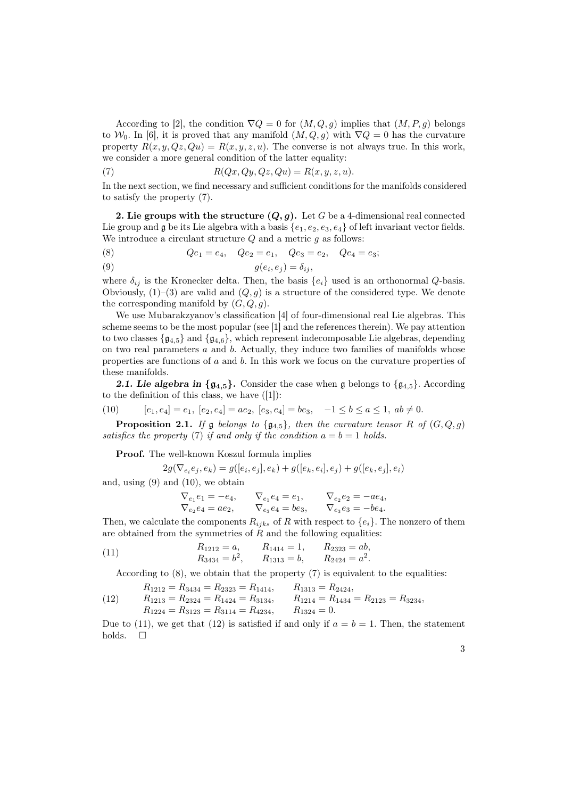According to [2], the condition  $\nabla Q = 0$  for  $(M, Q, g)$  implies that  $(M, P, g)$  belongs to  $\mathcal{W}_0$ . In [6], it is proved that any manifold  $(M, Q, g)$  with  $\nabla Q = 0$  has the curvature property  $R(x, y, Qz, Qu) = R(x, y, z, u)$ . The converse is not always true. In this work, we consider a more general condition of the latter equality:

(7) 
$$
R(Qx, Qy, Qz, Qu) = R(x, y, z, u).
$$

In the next section, we find necessary and sufficient conditions for the manifolds considered to satisfy the property (7).

2. Lie groups with the structure  $(Q, g)$ . Let G be a 4-dimensional real connected Lie group and  $\mathfrak g$  be its Lie algebra with a basis  $\{e_1, e_2, e_3, e_4\}$  of left invariant vector fields. We introduce a circulant structure  $Q$  and a metric  $g$  as follows:

(8) 
$$
Qe_1 = e_4
$$
,  $Qe_2 = e_1$ ,  $Qe_3 = e_2$ ,  $Qe_4 = e_3$ ;  
(0)

$$
(9) \t\t g(e_i, e_j) = \delta_{ij},
$$

where  $\delta_{ij}$  is the Kronecker delta. Then, the basis  $\{e_i\}$  used is an orthonormal  $Q$ -basis. Obviously,  $(1)$ – $(3)$  are valid and  $(Q, g)$  is a structure of the considered type. We denote the corresponding manifold by  $(G, Q, g)$ .

We use Mubarakzyanov's classification [4] of four-dimensional real Lie algebras. This scheme seems to be the most popular (see [1] and the references therein). We pay attention to two classes  $\{g_{4,5}\}\$  and  $\{g_{4,6}\}\$ , which represent indecomposable Lie algebras, depending on two real parameters a and b. Actually, they induce two families of manifolds whose properties are functions of a and b. In this work we focus on the curvature properties of these manifolds.

**2.1. Lie algebra in {** $\mathfrak{g}_{4,5}$ **}.** Consider the case when g belongs to { $\mathfrak{g}_{4,5}$ }. According to the definition of this class, we have  $(|1|)$ :

(10) 
$$
[e_1, e_4] = e_1, [e_2, e_4] = ae_2, [e_3, e_4] = be_3, -1 \le b \le a \le 1, ab \ne 0.
$$

**Proposition 2.1.** *If*  $\mathfrak g$  *belongs to*  $\{\mathfrak g_{4,5}\}\$ *, then the curvature tensor* R *of*  $(G, Q, g)$ *satisfies the property* (7) *if and only if the condition*  $a = b = 1$  *holds.* 

Proof. The well-known Koszul formula implies

$$
2g(\nabla_{e_i}e_j,e_k)=g([e_i,e_j],e_k)+g([e_k,e_i],e_j)+g([e_k,e_j],e_i)
$$

and, using (9) and (10), we obtain

$$
\nabla_{e_1} e_1 = -e_4, \nabla_{e_1} e_4 = e_1, \nabla_{e_2} e_2 = -ae_4, \n\nabla_{e_2} e_4 = ae_2, \nabla_{e_3} e_4 = be_3, \nabla_{e_3} e_3 = -be_4.
$$

Then, we calculate the components  $R_{ijks}$  of R with respect to  $\{e_i\}$ . The nonzero of them are obtained from the symmetries of  $R$  and the following equalities:

(11) 
$$
R_{1212} = a,
$$
  $R_{1414} = 1,$   $R_{2323} = ab,$   
\n $R_{3434} = b^2,$   $R_{1313} = b,$   $R_{2424} = a^2.$ 

According to  $(8)$ , we obtain that the property  $(7)$  is equivalent to the equalities:

(12) 
$$
R_{1212} = R_{3434} = R_{2323} = R_{1414}, \t R_{1313} = R_{2424},
$$

$$
R_{1213} = R_{2324} = R_{1424} = R_{3134}, \t R_{1214} = R_{1434} = R_{2123} = R_{3234},
$$

$$
R_{1224} = R_{3123} = R_{3114} = R_{4234}, \t R_{1324} = 0.
$$

Due to (11), we get that (12) is satisfied if and only if  $a = b = 1$ . Then, the statement holds.  $\square$ 

3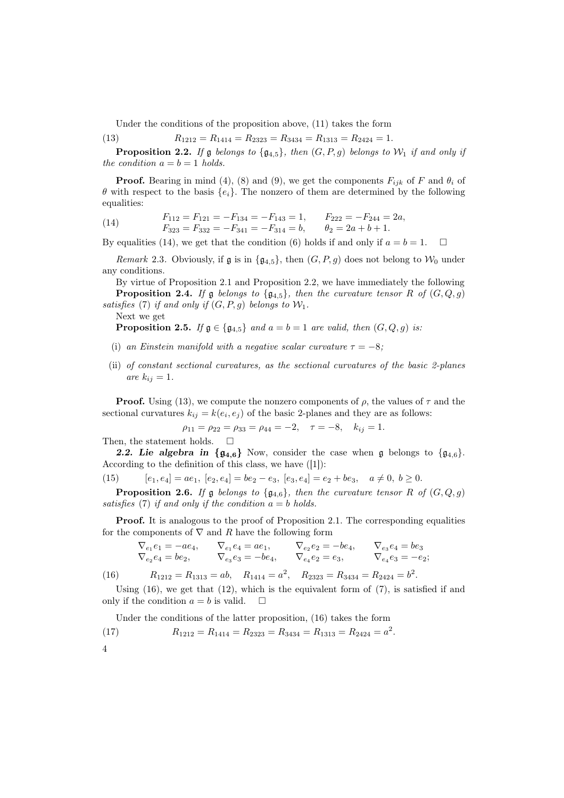Under the conditions of the proposition above, (11) takes the form

(13) 
$$
R_{1212} = R_{1414} = R_{2323} = R_{3434} = R_{1313} = R_{2424} = 1.
$$

**Proposition 2.2.** If  $\mathfrak g$  *belongs to*  $\{\mathfrak g_{4,5}\}\$ *, then*  $(G, P, g)$  *belongs to*  $\mathcal W_1$  *if and only if the condition*  $a = b = 1$  *holds.* 

**Proof.** Bearing in mind (4), (8) and (9), we get the components  $F_{ijk}$  of F and  $\theta_i$  of θ with respect to the basis {ei}. The nonzero of them are determined by the following equalities:

(14) 
$$
F_{112} = F_{121} = -F_{134} = -F_{143} = 1, \t F_{222} = -F_{244} = 2a,
$$

$$
F_{323} = F_{332} = -F_{341} = -F_{314} = b, \t \theta_2 = 2a + b + 1.
$$

By equalities (14), we get that the condition (6) holds if and only if  $a = b = 1$ .  $\Box$ 

*Remark* 2.3. Obviously, if g is in  $\{g_{4,5}\}\$ , then  $(G, P, g)$  does not belong to  $\mathcal{W}_0$  under any conditions.

By virtue of Proposition 2.1 and Proposition 2.2, we have immediately the following **Proposition 2.4.** *If*  $\mathfrak{g}$  *belongs to*  $\{g_{4,5}\}\$ *, then the curvature tensor* R *of*  $(G, Q, g)$ *satisfies* (7) *if and only if*  $(G, P, g)$  *belongs to*  $W_1$ *.* 

Next we get

**Proposition 2.5.** *If*  $g \in \{g_{4,5}\}\$  *and*  $a = b = 1$  *are valid, then*  $(G, Q, g)$  *is:* 

- (i) an Einstein manifold with a negative scalar curvature  $\tau = -8$ ;
- (ii) *of constant sectional curvatures, as the sectional curvatures of the basic 2-planes are*  $k_{ij} = 1$ *.*

**Proof.** Using (13), we compute the nonzero components of  $\rho$ , the values of  $\tau$  and the sectional curvatures  $k_{ij} = k(e_i, e_j)$  of the basic 2-planes and they are as follows:

$$
\rho_{11} = \rho_{22} = \rho_{33} = \rho_{44} = -2, \quad \tau = -8, \quad k_{ij} = 1.
$$

Then, the statement holds.  $\square$ 

2.2. Lie algebra in  $\{g_{4,6}\}\$  Now, consider the case when g belongs to  $\{g_{4,6}\}\$ . According to the definition of this class, we have ([1]):

(15) 
$$
[e_1, e_4] = ae_1, [e_2, e_4] = be_2 - e_3, [e_3, e_4] = e_2 + be_3, a \neq 0, b \geq 0.
$$

**Proposition 2.6.** *If*  $\mathfrak{g}$  *belongs to*  $\{\mathfrak{g}_{4.6}\}\$ *, then the curvature tensor* R *of*  $(G, Q, g)$ *satisfies* (7) *if and only if the condition* a = b *holds.*

Proof. It is analogous to the proof of Proposition 2.1. The corresponding equalities for the components of  $\nabla$  and R have the following form

$$
\nabla_{e_1} e_1 = -ae_4, \nabla_{e_1} e_4 = ae_1, \nabla_{e_2} e_2 = -be_4, \nabla_{e_3} e_4 = be_3 \n\nabla_{e_2} e_4 = be_2, \nabla_{e_3} e_3 = -be_4, \nabla_{e_4} e_2 = e_3, \nabla_{e_4} e_3 = -e_2;
$$

(16)  $R_{1212} = R_{1313} = ab, \quad R_{1414} = a^2, \quad R_{2323} = R_{3434} = R_{2424} = b^2.$ 

Using  $(16)$ , we get that  $(12)$ , which is the equivalent form of  $(7)$ , is satisfied if and only if the condition  $a = b$  is valid.  $\square$ 

Under the conditions of the latter proposition, (16) takes the form

(17) 
$$
R_{1212} = R_{1414} = R_{2323} = R_{3434} = R_{1313} = R_{2424} = a^2.
$$

4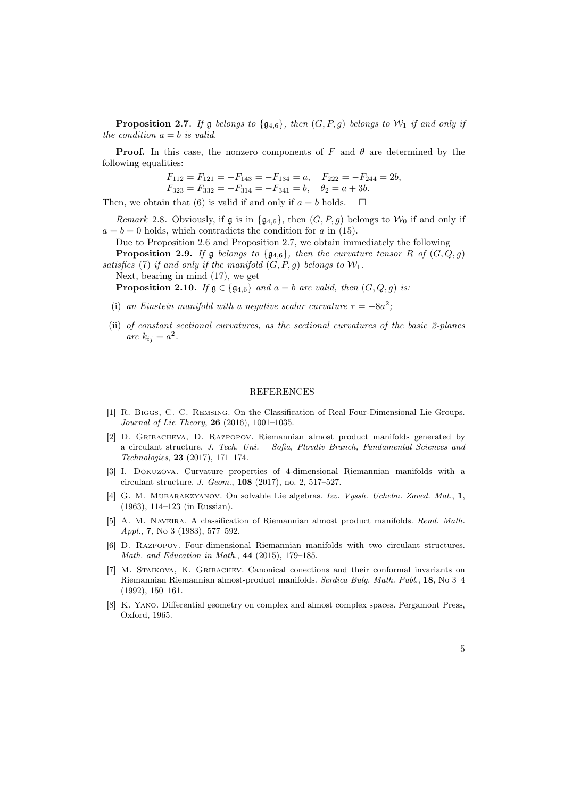**Proposition 2.7.** If  $\mathfrak g$  *belongs to*  $\{ \mathfrak g_{4,6} \}$ *, then*  $(G, P, g)$  *belongs to*  $\mathcal W_1$  *if and only if the condition*  $a = b$  *is valid.* 

**Proof.** In this case, the nonzero components of F and  $\theta$  are determined by the following equalities:

$$
F_{112} = F_{121} = -F_{143} = -F_{134} = a
$$
,  $F_{222} = -F_{244} = 2b$ ,  
\n $F_{323} = F_{332} = -F_{314} = -F_{341} = b$ ,  $\theta_2 = a + 3b$ .

Then, we obtain that (6) is valid if and only if  $a = b$  holds.  $\square$ 

*Remark* 2.8. Obviously, if g is in  $\{q_{4,6}\}\$ , then  $(G, P, g)$  belongs to  $\mathcal{W}_0$  if and only if  $a = b = 0$  holds, which contradicts the condition for a in (15).

Due to Proposition 2.6 and Proposition 2.7, we obtain immediately the following

**Proposition 2.9.** *If*  $\mathfrak g$  *belongs to*  $\{\mathfrak g_{4,6}\}\$ *, then the curvature tensor* R *of*  $(G, Q, g)$ *satisfies* (7) *if and only if the manifold*  $(G, P, g)$  *belongs to*  $W_1$ *.* 

Next, bearing in mind (17), we get

**Proposition 2.10.** *If*  $g \in \{g_{4,6}\}\$  *and*  $a = b$  *are valid, then*  $(G, Q, g)$  *is:* 

- (i) an Einstein manifold with a negative scalar curvature  $\tau = -8a^2$ ;
- (ii) *of constant sectional curvatures, as the sectional curvatures of the basic 2-planes are*  $k_{ij} = a^2$ .

#### REFERENCES

- [1] R. Biggs, C. C. Remsing. On the Classification of Real Four-Dimensional Lie Groups. Journal of Lie Theory, 26 (2016), 1001–1035.
- [2] D. Gribacheva, D. Razpopov. Riemannian almost product manifolds generated by a circulant structure. J. Tech. Uni. – Sofia, Plovdiv Branch, Fundamental Sciences and Technologies, 23 (2017), 171–174.
- [3] I. Dokuzova. Curvature properties of 4-dimensional Riemannian manifolds with a circulant structure. J. Geom., 108 (2017), no. 2, 517–527.
- [4] G. M. Mubarakzyanov. On solvable Lie algebras. Izv. Vyssh. Uchebn. Zaved. Mat., 1, (1963), 114–123 (in Russian).
- [5] A. M. Naveira. A classification of Riemannian almost product manifolds. Rend. Math. Appl., 7, No 3 (1983), 577–592.
- [6] D. Razpopov. Four-dimensional Riemannian manifolds with two circulant structures. Math. and Education in Math., 44 (2015), 179–185.
- [7] M. Staikova, K. Gribachev. Canonical conections and their conformal invariants on Riemannian Riemannian almost-product manifolds. Serdica Bulg. Math. Publ., 18, No 3–4 (1992), 150–161.
- [8] K. Yano. Differential geometry on complex and almost complex spaces. Pergamont Press, Oxford, 1965.